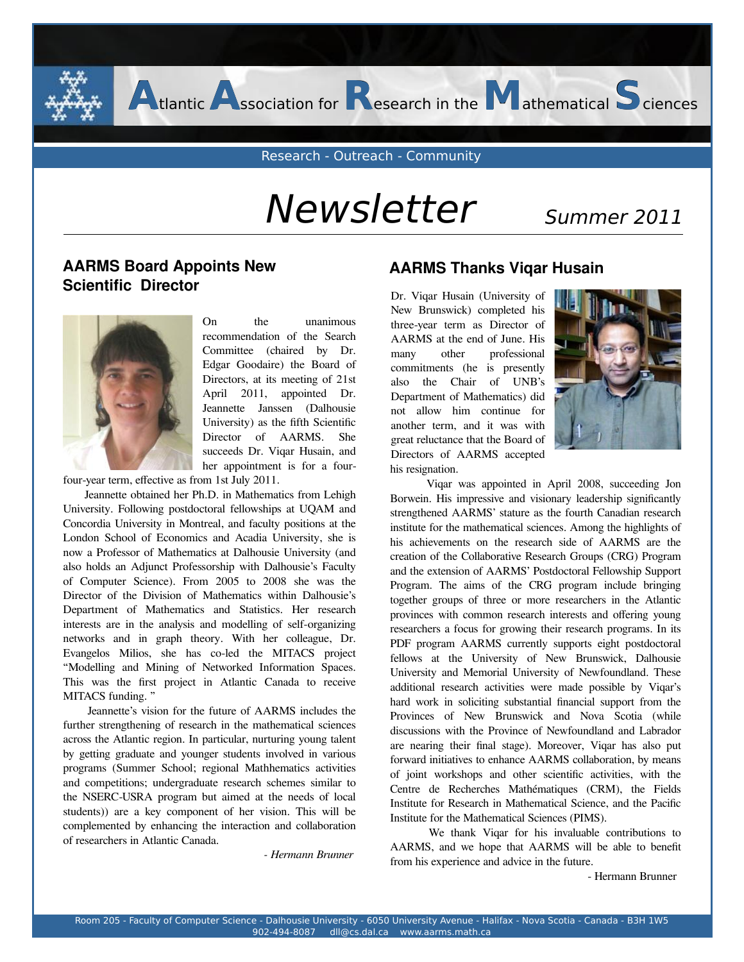Research - Outreach - Community

**A**tlantic **A**ssociation for **R**esearch in the **M**athematical **S**ciences

# Newsletter Summer 2011

### **AARMS Board Appoints New AARMS Thanks Viqar Husain Scientific Director**



On the unanimous recommendation of the Search Committee (chaired by Dr. Edgar Goodaire) the Board of Directors, at its meeting of 21st April 2011, appointed Dr. Jeannette Janssen (Dalhousie University) as the fifth Scientific Director of AARMS. She succeeds Dr. Viqar Husain, and her appointment is for a four-

four-year term, effective as from 1st July 2011.

 Jeannette obtained her Ph.D. in Mathematics from Lehigh University. Following postdoctoral fellowships at UQAM and Concordia University in Montreal, and faculty positions at the London School of Economics and Acadia University, she is now a Professor of Mathematics at Dalhousie University (and also holds an Adjunct Professorship with Dalhousie's Faculty of Computer Science). From 2005 to 2008 she was the Director of the Division of Mathematics within Dalhousie's Department of Mathematics and Statistics. Her research interests are in the analysis and modelling of self-organizing networks and in graph theory. With her colleague, Dr. Evangelos Milios, she has co-led the MITACS project "Modelling and Mining of Networked Information Spaces. This was the first project in Atlantic Canada to receive MITACS funding. "

 Jeannette's vision for the future of AARMS includes the further strengthening of research in the mathematical sciences across the Atlantic region. In particular, nurturing young talent by getting graduate and younger students involved in various programs (Summer School; regional Mathhematics activities and competitions; undergraduate research schemes similar to the NSERC-USRA program but aimed at the needs of local students)) are a key component of her vision. This will be complemented by enhancing the interaction and collaboration of researchers in Atlantic Canada.

 *- Hermann Brunner*

his resignation. Dr. Viqar Husain (University of New Brunswick) completed his three-year term as Director of AARMS at the end of June. His many other professional commitments (he is presently also the Chair of UNB's Department of Mathematics) did not allow him continue for another term, and it was with great reluctance that the Board of Directors of AARMS accepted



 Viqar was appointed in April 2008, succeeding Jon Borwein. His impressive and visionary leadership significantly strengthened AARMS' stature as the fourth Canadian research institute for the mathematical sciences. Among the highlights of his achievements on the research side of AARMS are the creation of the Collaborative Research Groups (CRG) Program and the extension of AARMS' Postdoctoral Fellowship Support Program. The aims of the CRG program include bringing together groups of three or more researchers in the Atlantic provinces with common research interests and offering young researchers a focus for growing their research programs. In its PDF program AARMS currently supports eight postdoctoral fellows at the University of New Brunswick, Dalhousie University and Memorial University of Newfoundland. These additional research activities were made possible by Viqar's hard work in soliciting substantial financial support from the Provinces of New Brunswick and Nova Scotia (while discussions with the Province of Newfoundland and Labrador are nearing their final stage). Moreover, Viqar has also put forward initiatives to enhance AARMS collaboration, by means of joint workshops and other scientific activities, with the Centre de Recherches Mathématiques (CRM), the Fields Institute for Research in Mathematical Science, and the Pacific Institute for the Mathematical Sciences (PIMS).

 We thank Viqar for his invaluable contributions to AARMS, and we hope that AARMS will be able to benefit from his experience and advice in the future.

- Hermann Brunner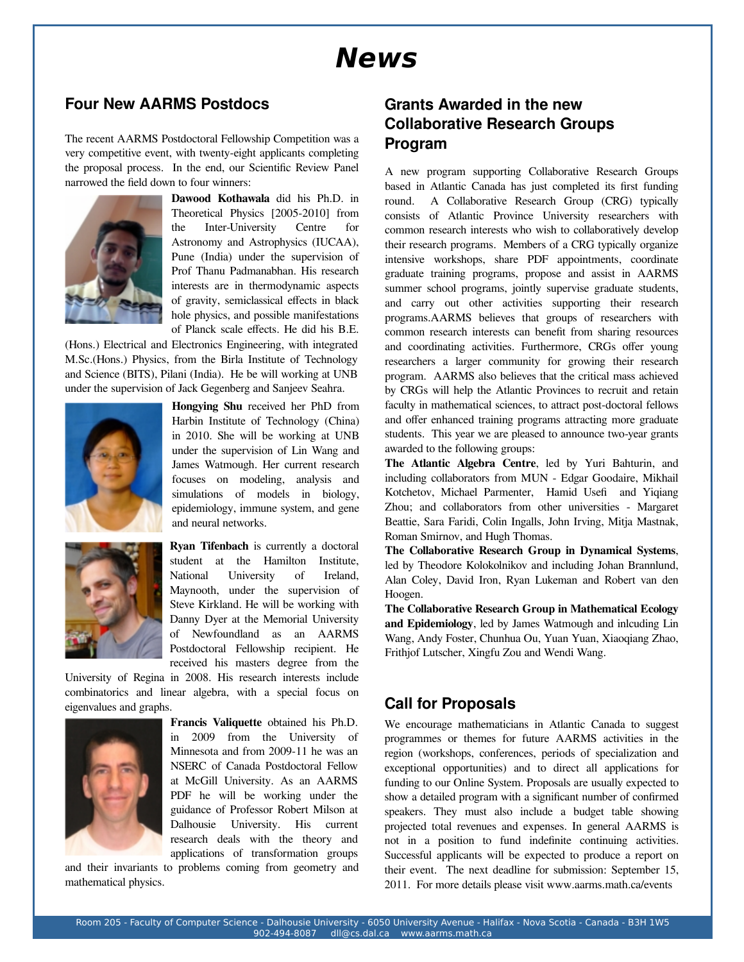## **News**

#### **Four New AARMS Postdocs**

The recent AARMS Postdoctoral Fellowship Competition was a very competitive event, with twenty-eight applicants completing the proposal process. In the end, our Scientific Review Panel narrowed the field down to four winners:



**Dawood Kothawala** did his Ph.D. in Theoretical Physics [2005-2010] from the Inter-University Centre for Astronomy and Astrophysics (IUCAA), Pune (India) under the supervision of Prof Thanu Padmanabhan. His research interests are in thermodynamic aspects of gravity, semiclassical effects in black hole physics, and possible manifestations of Planck scale effects. He did his B.E.

(Hons.) Electrical and Electronics Engineering, with integrated M.Sc.(Hons.) Physics, from the Birla Institute of Technology and Science (BITS), Pilani (India). He be will working at UNB under the supervision of Jack Gegenberg and Sanjeev Seahra.



**Hongying Shu** received her PhD from Harbin Institute of Technology (China) in 2010. She will be working at UNB under the supervision of Lin Wang and James Watmough. Her current research focuses on modeling, analysis and simulations of models in biology, epidemiology, immune system, and gene and neural networks.



**Ryan Tifenbach** is currently a doctoral student at the Hamilton Institute, National University of Ireland, Maynooth, under the supervision of Steve Kirkland. He will be working with Danny Dyer at the Memorial University of Newfoundland as an AARMS Postdoctoral Fellowship recipient. He received his masters degree from the

University of Regina in 2008. His research interests include combinatorics and linear algebra, with a special focus on eigenvalues and graphs.



**Francis Valiquette** obtained his Ph.D. in 2009 from the University of Minnesota and from 2009-11 he was an NSERC of Canada Postdoctoral Fellow at McGill University. As an AARMS PDF he will be working under the guidance of Professor Robert Milson at Dalhousie University. His current research deals with the theory and applications of transformation groups

and their invariants to problems coming from geometry and mathematical physics.

### **Grants Awarded in the new Collaborative Research Groups Program**

A new program supporting Collaborative Research Groups based in Atlantic Canada has just completed its first funding round. A Collaborative Research Group (CRG) typically consists of Atlantic Province University researchers with common research interests who wish to collaboratively develop their research programs. Members of a CRG typically organize intensive workshops, share PDF appointments, coordinate graduate training programs, propose and assist in AARMS summer school programs, jointly supervise graduate students, and carry out other activities supporting their research programs.AARMS believes that groups of researchers with common research interests can benefit from sharing resources and coordinating activities. Furthermore, CRGs offer young researchers a larger community for growing their research program. AARMS also believes that the critical mass achieved by CRGs will help the Atlantic Provinces to recruit and retain faculty in mathematical sciences, to attract post-doctoral fellows and offer enhanced training programs attracting more graduate students. This year we are pleased to announce two-year grants awarded to the following groups:

**The Atlantic Algebra Centre**, led by Yuri Bahturin, and including collaborators from MUN - Edgar Goodaire, Mikhail Kotchetov, Michael Parmenter, Hamid Usefi and Yiqiang Zhou; and collaborators from other universities - Margaret Beattie, Sara Faridi, Colin Ingalls, John Irving, Mitja Mastnak, Roman Smirnov, and Hugh Thomas.

**The Collaborative Research Group in Dynamical Systems**, led by Theodore Kolokolnikov and including Johan Brannlund, Alan Coley, David Iron, Ryan Lukeman and Robert van den Hoogen.

**The Collaborative Research Group in Mathematical Ecology and Epidemiology**, led by James Watmough and inlcuding Lin Wang, Andy Foster, Chunhua Ou, Yuan Yuan, Xiaoqiang Zhao, Frithjof Lutscher, Xingfu Zou and Wendi Wang.

### **Call for Proposals**

We encourage mathematicians in Atlantic Canada to suggest programmes or themes for future AARMS activities in the region (workshops, conferences, periods of specialization and exceptional opportunities) and to direct all applications for funding to our Online System. Proposals are usually expected to show a detailed program with a significant number of confirmed speakers. They must also include a budget table showing projected total revenues and expenses. In general AARMS is not in a position to fund indefinite continuing activities. Successful applicants will be expected to produce a report on their event. The next deadline for submission: September 15, 2011. For more details please visit www.aarms.math.ca/events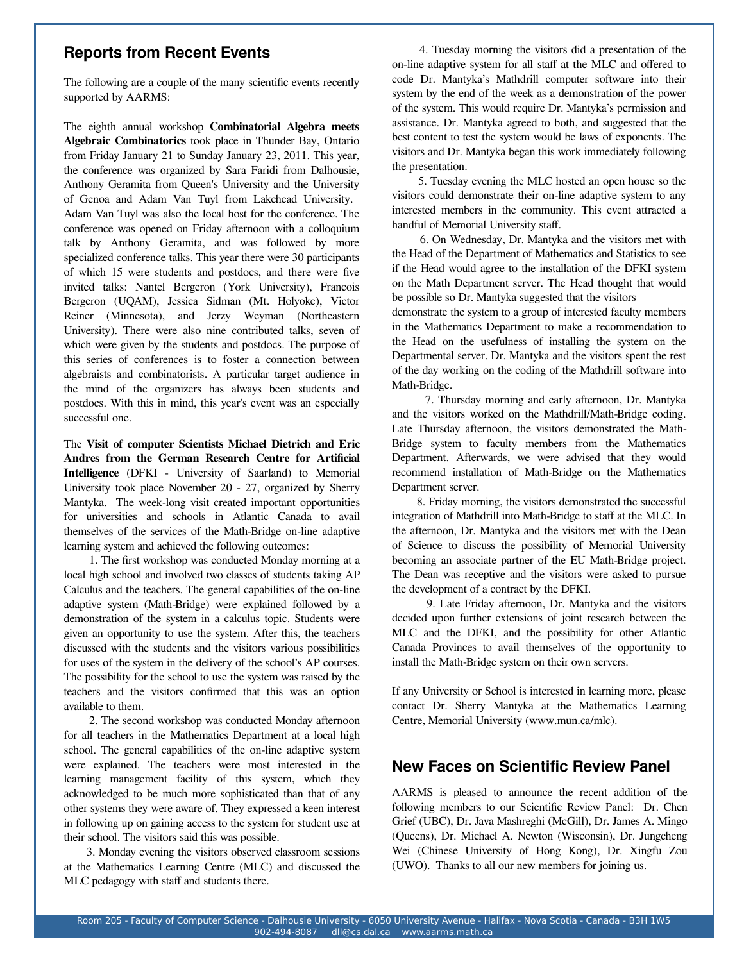#### **Reports from Recent Events**

The following are a couple of the many scientific events recently supported by AARMS:

from Friday January 21 to Sunday January 23, 2011. This year, VISITORS and Dr. Mar The eighth annual workshop **Combinatorial Algebra meets Algebraic Combinatorics** took place in Thunder Bay, Ontario the conference was organized by Sara Faridi from Dalhousie, Anthony Geramita from Queen's University and the University of Genoa and Adam Van Tuyl from Lakehead University. Adam Van Tuyl was also the local host for the conference. The conference was opened on Friday afternoon with a colloquium talk by Anthony Geramita, and was followed by more specialized conference talks. This year there were 30 participants of which 15 were students and postdocs, and there were five invited talks: Nantel Bergeron (York University), Francois Bergeron (UQAM), Jessica Sidman (Mt. Holyoke), Victor Reiner (Minnesota), and Jerzy Weyman (Northeastern University). There were also nine contributed talks, seven of which were given by the students and postdocs. The purpose of this series of conferences is to foster a connection between algebraists and combinatorists. A particular target audience in the mind of the organizers has always been students and postdocs. With this in mind, this year's event was an especially successful one.

The **Visit of computer Scientists Michael Dietrich and Eric Andres from the German Research Centre for Artificial Intelligence** (DFKI - University of Saarland) to Memorial University took place November 20 - 27, organized by Sherry Mantyka. The week-long visit created important opportunities for universities and schools in Atlantic Canada to avail themselves of the services of the Math-Bridge on-line adaptive learning system and achieved the following outcomes:

 1. The first workshop was conducted Monday morning at a local high school and involved two classes of students taking AP Calculus and the teachers. The general capabilities of the on-line adaptive system (Math-Bridge) were explained followed by a demonstration of the system in a calculus topic. Students were given an opportunity to use the system. After this, the teachers discussed with the students and the visitors various possibilities for uses of the system in the delivery of the school's AP courses. The possibility for the school to use the system was raised by the teachers and the visitors confirmed that this was an option available to them.

 2. The second workshop was conducted Monday afternoon for all teachers in the Mathematics Department at a local high school. The general capabilities of the on-line adaptive system were explained. The teachers were most interested in the learning management facility of this system, which they acknowledged to be much more sophisticated than that of any other systems they were aware of. They expressed a keen interest in following up on gaining access to the system for student use at their school. The visitors said this was possible.

 3. Monday evening the visitors observed classroom sessions at the Mathematics Learning Centre (MLC) and discussed the MLC pedagogy with staff and students there.

 4. Tuesday morning the visitors did a presentation of the on-line adaptive system for all staff at the MLC and offered to code Dr. Mantyka's Mathdrill computer software into their system by the end of the week as a demonstration of the power of the system. This would require Dr. Mantyka's permission and assistance. Dr. Mantyka agreed to both, and suggested that the best content to test the system would be laws of exponents. The visitors and Dr. Mantyka began this work immediately following the presentation.

 5. Tuesday evening the MLC hosted an open house so the visitors could demonstrate their on-line adaptive system to any interested members in the community. This event attracted a handful of Memorial University staff.

 6. On Wednesday, Dr. Mantyka and the visitors met with the Head of the Department of Mathematics and Statistics to see if the Head would agree to the installation of the DFKI system on the Math Department server. The Head thought that would be possible so Dr. Mantyka suggested that the visitors

demonstrate the system to a group of interested faculty members in the Mathematics Department to make a recommendation to the Head on the usefulness of installing the system on the Departmental server. Dr. Mantyka and the visitors spent the rest of the day working on the coding of the Mathdrill software into Math-Bridge.

 7. Thursday morning and early afternoon, Dr. Mantyka and the visitors worked on the Mathdrill/Math-Bridge coding. Late Thursday afternoon, the visitors demonstrated the Math-Bridge system to faculty members from the Mathematics Department. Afterwards, we were advised that they would recommend installation of Math-Bridge on the Mathematics Department server.

 8. Friday morning, the visitors demonstrated the successful integration of Mathdrill into Math-Bridge to staff at the MLC. In the afternoon, Dr. Mantyka and the visitors met with the Dean of Science to discuss the possibility of Memorial University becoming an associate partner of the EU Math-Bridge project. The Dean was receptive and the visitors were asked to pursue the development of a contract by the DFKI.

 9. Late Friday afternoon, Dr. Mantyka and the visitors decided upon further extensions of joint research between the MLC and the DFKI, and the possibility for other Atlantic Canada Provinces to avail themselves of the opportunity to install the Math-Bridge system on their own servers.

If any University or School is interested in learning more, please contact Dr. Sherry Mantyka at the Mathematics Learning Centre, Memorial University (www.mun.ca/mlc).

#### **New Faces on Scientific Review Panel**

AARMS is pleased to announce the recent addition of the following members to our Scientific Review Panel: Dr. Chen Grief (UBC), Dr. Java Mashreghi (McGill), Dr. James A. Mingo (Queens), Dr. Michael A. Newton (Wisconsin), Dr. Jungcheng Wei (Chinese University of Hong Kong), Dr. Xingfu Zou (UWO). Thanks to all our new members for joining us.